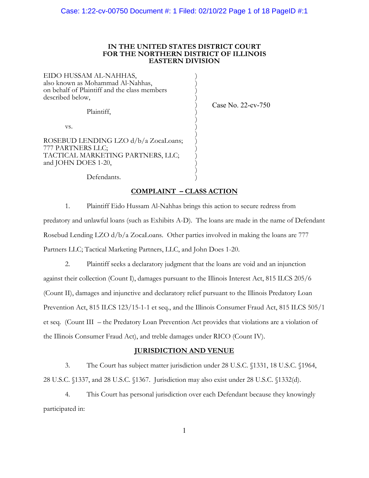### **IN THE UNITED STATES DISTRICT COURT FOR THE NORTHERN DISTRICT OF ILLINOIS EASTERN DIVISION**

)

)

)

 $\qquad \qquad )$ 

EIDO HUSSAM AL-NAHHAS, ) also known as Mohammad Al-Nahhas, ) on behalf of Plaintiff and the class members ) described below,

Plaintiff, )

Case No. 22-cv-750

 $\mathbf{v}\mathbf{s}$ .  $\qquad \qquad$  )

ROSEBUD LENDING LZO d/b/a ZocaLoans; ) 777 PARTNERS LLC; ) TACTICAL MARKETING PARTNERS, LLC; ) and JOHN DOES 1-20,

Defendants.

## **COMPLAINT – CLASS ACTION**

1. Plaintiff Eido Hussam Al-Nahhas brings this action to secure redress from predatory and unlawful loans (such as Exhibits A-D). The loans are made in the name of Defendant Rosebud Lending LZO d/b/a ZocaLoans. Other parties involved in making the loans are 777 Partners LLC; Tactical Marketing Partners, LLC, and John Does 1-20.

2. Plaintiff seeks a declaratory judgment that the loans are void and an injunction against their collection (Count I), damages pursuant to the Illinois Interest Act, 815 ILCS 205/6 (Count II), damages and injunctive and declaratory relief pursuant to the Illinois Predatory Loan Prevention Act, 815 ILCS 123/15-1-1 et seq., and the Illinois Consumer Fraud Act, 815 ILCS 505/1 et seq. (Count III – the Predatory Loan Prevention Act provides that violations are a violation of the Illinois Consumer Fraud Act), and treble damages under RICO (Count IV).

## **JURISDICTION AND VENUE**

3. The Court has subject matter jurisdiction under 28 U.S.C. §1331, 18 U.S.C. §1964, 28 U.S.C. §1337, and 28 U.S.C. §1367. Jurisdiction may also exist under 28 U.S.C. §1332(d).

4. This Court has personal jurisdiction over each Defendant because they knowingly participated in: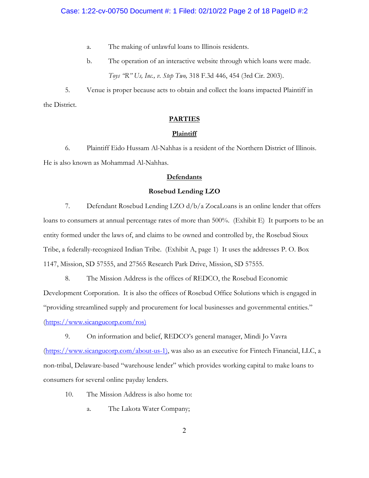## Case: 1:22-cv-00750 Document #: 1 Filed: 02/10/22 Page 2 of 18 PageID #:2

- a. The making of unlawful loans to Illinois residents.
- b. The operation of an interactive website through which loans were made. *Toys "R" Us, Inc., v. Step Two,* 318 F.3d 446, 454 (3rd Cir. 2003).

5. Venue is proper because acts to obtain and collect the loans impacted Plaintiff in the District.

## **PARTIES**

#### **Plaintiff**

6. Plaintiff Eido Hussam Al-Nahhas is a resident of the Northern District of Illinois. He is also known as Mohammad Al-Nahhas.

#### **Defendants**

#### **Rosebud Lending LZO**

7. Defendant Rosebud Lending LZO d/b/a ZocaLoans is an online lender that offers loans to consumers at annual percentage rates of more than 500%. (Exhibit E) It purports to be an entity formed under the laws of, and claims to be owned and controlled by, the Rosebud Sioux Tribe, a federally-recognized Indian Tribe. (Exhibit A, page 1) It uses the addresses P. O. Box 1147, Mission, SD 57555, and 27565 Research Park Drive, Mission, SD 57555.

8. The Mission Address is the offices of REDCO, the Rosebud Economic Development Corporation. It is also the offices of Rosebud Office Solutions which is engaged in "providing streamlined supply and procurement for local businesses and governmental entities." (https://www.sicangucorp.com/ros)

9. On information and belief, REDCO's general manager, Mindi Jo Vavra (https://www.sicangucorp.com/about-us-1), was also as an executive for Fintech Financial, LLC, a non-tribal, Delaware-based "warehouse lender" which provides working capital to make loans to consumers for several online payday lenders.

- 10. The Mission Address is also home to:
	- a. The Lakota Water Company;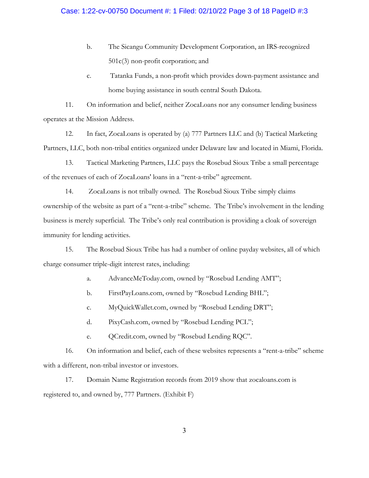- b. The Sicangu Community Development Corporation, an IRS-recognized 501c(3) non-profit corporation; and
- c. Tatanka Funds, a non-profit which provides down-payment assistance and home buying assistance in south central South Dakota.

11. On information and belief, neither ZocaLoans nor any consumer lending business operates at the Mission Address.

12. In fact, ZocaLoans is operated by (a) 777 Partners LLC and (b) Tactical Marketing Partners, LLC, both non-tribal entities organized under Delaware law and located in Miami, Florida.

13. Tactical Marketing Partners, LLC pays the Rosebud Sioux Tribe a small percentage of the revenues of each of ZocaLoans' loans in a "rent-a-tribe" agreement.

14. ZocaLoans is not tribally owned. The Rosebud Sioux Tribe simply claims ownership of the website as part of a "rent-a-tribe" scheme. The Tribe's involvement in the lending business is merely superficial. The Tribe's only real contribution is providing a cloak of sovereign immunity for lending activities.

15. The Rosebud Sioux Tribe has had a number of online payday websites, all of which charge consumer triple-digit interest rates, including:

a. AdvanceMeToday.com, owned by "Rosebud Lending AMT";

b. FirstPayLoans.com, owned by "Rosebud Lending BHL";

c. MyQuickWallet.com, owned by "Rosebud Lending DRT";

- d. PixyCash.com, owned by "Rosebud Lending PCL";
- e. QCredit.com, owned by "Rosebud Lending RQC".

16. On information and belief, each of these websites represents a "rent-a-tribe" scheme with a different, non-tribal investor or investors.

17. Domain Name Registration records from 2019 show that zocaloans.com is registered to, and owned by, 777 Partners. (Exhibit F)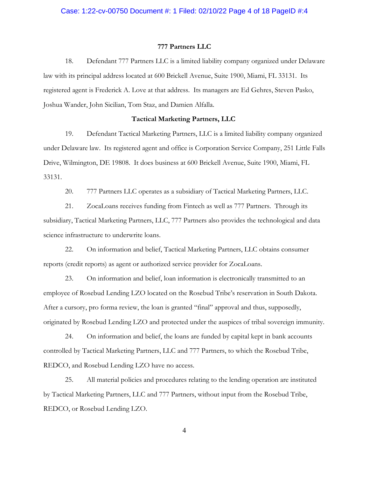## Case: 1:22-cv-00750 Document #: 1 Filed: 02/10/22 Page 4 of 18 PageID #:4

#### **777 Partners LLC**

18. Defendant 777 Partners LLC is a limited liability company organized under Delaware law with its principal address located at 600 Brickell Avenue, Suite 1900, Miami, FL 33131. Its registered agent is Frederick A. Love at that address. Its managers are Ed Gehres, Steven Pasko, Joshua Wander, John Sicilian, Tom Staz, and Damien Alfalla.

#### **Tactical Marketing Partners, LLC**

19. Defendant Tactical Marketing Partners, LLC is a limited liability company organized under Delaware law. Its registered agent and office is Corporation Service Company, 251 Little Falls Drive, Wilmington, DE 19808. It does business at 600 Brickell Avenue, Suite 1900, Miami, FL 33131.

20. 777 Partners LLC operates as a subsidiary of Tactical Marketing Partners, LLC.

21. ZocaLoans receives funding from Fintech as well as 777 Partners. Through its subsidiary, Tactical Marketing Partners, LLC, 777 Partners also provides the technological and data science infrastructure to underwrite loans.

22. On information and belief, Tactical Marketing Partners, LLC obtains consumer reports (credit reports) as agent or authorized service provider for ZocaLoans.

23. On information and belief, loan information is electronically transmitted to an employee of Rosebud Lending LZO located on the Rosebud Tribe's reservation in South Dakota. After a cursory, pro forma review, the loan is granted "final" approval and thus, supposedly, originated by Rosebud Lending LZO and protected under the auspices of tribal sovereign immunity.

24. On information and belief, the loans are funded by capital kept in bank accounts controlled by Tactical Marketing Partners, LLC and 777 Partners, to which the Rosebud Tribe, REDCO, and Rosebud Lending LZO have no access.

25. All material policies and procedures relating to the lending operation are instituted by Tactical Marketing Partners, LLC and 777 Partners, without input from the Rosebud Tribe, REDCO, or Rosebud Lending LZO.

4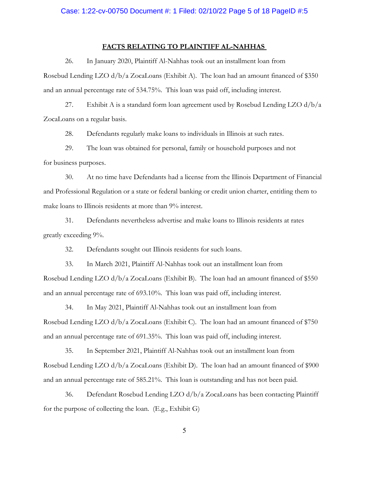#### **FACTS RELATING TO PLAINTIFF AL-NAHHAS**

26. In January 2020, Plaintiff Al-Nahhas took out an installment loan from

Rosebud Lending LZO  $d/b/a$  ZocaLoans (Exhibit A). The loan had an amount financed of \$350 and an annual percentage rate of 534.75%. This loan was paid off, including interest.

27. Exhibit A is a standard form loan agreement used by Rosebud Lending LZO  $d/b/a$ ZocaLoans on a regular basis.

28. Defendants regularly make loans to individuals in Illinois at such rates.

29. The loan was obtained for personal, family or household purposes and not for business purposes.

30. At no time have Defendants had a license from the Illinois Department of Financial and Professional Regulation or a state or federal banking or credit union charter, entitling them to make loans to Illinois residents at more than 9% interest.

31. Defendants nevertheless advertise and make loans to Illinois residents at rates greatly exceeding 9%.

32. Defendants sought out Illinois residents for such loans.

33. In March 2021, Plaintiff Al-Nahhas took out an installment loan from Rosebud Lending LZO d/b/a ZocaLoans (Exhibit B). The loan had an amount financed of \$550 and an annual percentage rate of 693.10%. This loan was paid off, including interest.

34. In May 2021, Plaintiff Al-Nahhas took out an installment loan from Rosebud Lending LZO d/b/a ZocaLoans (Exhibit C). The loan had an amount financed of \$750 and an annual percentage rate of 691.35%. This loan was paid off, including interest.

35. In September 2021, Plaintiff Al-Nahhas took out an installment loan from Rosebud Lending LZO d/b/a ZocaLoans (Exhibit D). The loan had an amount financed of \$900 and an annual percentage rate of 585.21%. This loan is outstanding and has not been paid.

36. Defendant Rosebud Lending LZO d/b/a ZocaLoans has been contacting Plaintiff for the purpose of collecting the loan. (E.g., Exhibit G)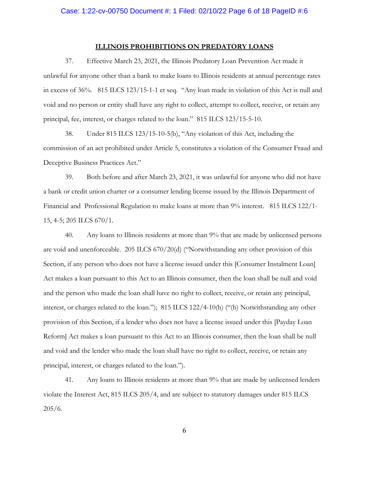#### **ILLINOIS PROHIBITIONS ON PREDATORY LOANS**

37. Effective March 23, 2021, the Illinois Predatory Loan Prevention Act made it unlawful for anyone other than a bank to make loans to Illinois residents at annual percentage rates in excess of 36%. 815 ILCS 123/15-1-1 et seq. "Any loan made in violation of this Act is null and void and no person or entity shall have any right to collect, attempt to collect, receive, or retain any principal, fee, interest, or charges related to the loan." 815 ILCS 123/15-5-10.

38. Under 815 ILCS 123/15-10-5(b), "Any violation of this Act, including the commission of an act prohibited under Article 5, constitutes a violation of the Consumer Fraud and Deceptive Business Practices Act."

39. Both before and after March 23, 2021, it was unlawful for anyone who did not have a bank or credit union charter or a consumer lending license issued by the Illinois Department of Financial and Professional Regulation to make loans at more than 9% interest. 815 ILCS 122/1- 15, 4-5; 205 ILCS 670/1.

40. Any loans to Illinois residents at more than 9% that are made by unlicensed persons are void and unenforceable. 205 ILCS 670/20(d) ("Notwithstanding any other provision of this Section, if any person who does not have a license issued under this [Consumer Instalment Loan] Act makes a loan pursuant to this Act to an Illinois consumer, then the loan shall be null and void and the person who made the loan shall have no right to collect, receive, or retain any principal, interest, or charges related to the loan."); 815 ILCS 122/4-10(h) ("(h) Notwithstanding any other provision of this Section, if a lender who does not have a license issued under this [Payday Loan Reform] Act makes a loan pursuant to this Act to an Illinois consumer, then the loan shall be null and void and the lender who made the loan shall have no right to collect, receive, or retain any principal, interest, or charges related to the loan.").

41. Any loans to Illinois residents at more than 9% that are made by unlicensed lenders violate the Interest Act, 815 ILCS 205/4, and are subject to statutory damages under 815 ILCS 205/6.

6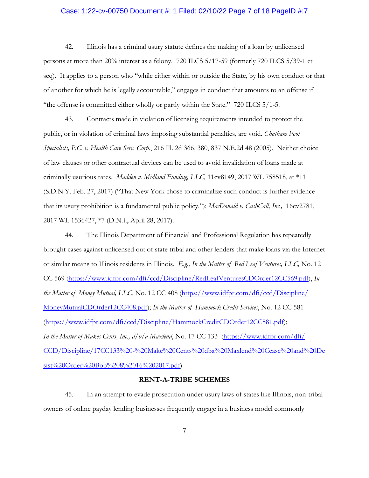## Case: 1:22-cv-00750 Document #: 1 Filed: 02/10/22 Page 7 of 18 PageID #:7

42. Illinois has a criminal usury statute defines the making of a loan by unlicensed persons at more than 20% interest as a felony. 720 ILCS 5/17-59 (formerly 720 ILCS 5/39-1 et seq). It applies to a person who "while either within or outside the State, by his own conduct or that of another for which he is legally accountable," engages in conduct that amounts to an offense if "the offense is committed either wholly or partly within the State." 720 ILCS 5/1-5.

43. Contracts made in violation of licensing requirements intended to protect the public, or in violation of criminal laws imposing substantial penalties, are void. *Chatham Foot Specialists, P.C. v. Health Care Serv. Corp.*, 216 Ill. 2d 366, 380, 837 N.E.2d 48 (2005). Neither choice of law clauses or other contractual devices can be used to avoid invalidation of loans made at criminally usurious rates. *Madden v. Midland Funding, LLC,* 11cv8149, 2017 WL 758518, at \*11 (S.D.N.Y. Feb. 27, 2017) ("That New York chose to criminalize such conduct is further evidence that its usury prohibition is a fundamental public policy."); *MacDonald v. CashCall, Inc.,* 16cv2781, 2017 WL 1536427, \*7 (D.N.J., April 28, 2017).

44. The Illinois Department of Financial and Professional Regulation has repeatedly brought cases against unlicensed out of state tribal and other lenders that make loans via the Internet or similar means to Illinois residents in Illinois. *E.g., In the Matter of Red Leaf Ventures, LLC,* No. 12 CC 569 (https://www.idfpr.com/dfi/ccd/Discipline/RedLeafVenturesCDOrder12CC569.pdf), *In the Matter of Money Mutual, LLC*, No. 12 CC 408 (https://www.idfpr.com/dfi/ccd/Discipline/ MoneyMutualCDOrder12CC408.pdf); *In the Matter of Hammock Credit Services*, No. 12 CC 581 (https://www.idfpr.com/dfi/ccd/Discipline/HammockCreditCDOrder12CC581.pdf); *In the Matter of Makes Cents, Inc., d/b/a Maxlend*, No. 17 CC 133 (https://www.idfpr.com/dfi/ CCD/Discipline/17CC133%20-%20Make%20Cents%20dba%20Maxlend%20Cease%20and%20De sist%20Order%20Bob%208%2016%202017.pdf)

#### **RENT-A-TRIBE SCHEMES**

45. In an attempt to evade prosecution under usury laws of states like Illinois, non-tribal owners of online payday lending businesses frequently engage in a business model commonly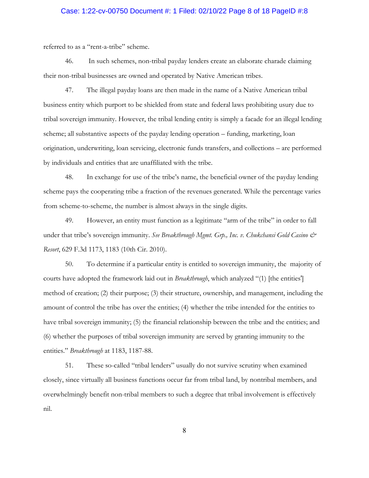## Case: 1:22-cv-00750 Document #: 1 Filed: 02/10/22 Page 8 of 18 PageID #:8

referred to as a "rent-a-tribe" scheme.

46. In such schemes, non-tribal payday lenders create an elaborate charade claiming their non-tribal businesses are owned and operated by Native American tribes.

47. The illegal payday loans are then made in the name of a Native American tribal business entity which purport to be shielded from state and federal laws prohibiting usury due to tribal sovereign immunity. However, the tribal lending entity is simply a facade for an illegal lending scheme; all substantive aspects of the payday lending operation – funding, marketing, loan origination, underwriting, loan servicing, electronic funds transfers, and collections – are performed by individuals and entities that are unaffiliated with the tribe.

48. In exchange for use of the tribe's name, the beneficial owner of the payday lending scheme pays the cooperating tribe a fraction of the revenues generated. While the percentage varies from scheme-to-scheme, the number is almost always in the single digits.

49. However, an entity must function as a legitimate "arm of the tribe" in order to fall under that tribe's sovereign immunity. *See Breakthrough Mgmt. Grp., Inc. v. Chukchansi Gold Casino & Resort*, 629 F.3d 1173, 1183 (10th Cir. 2010).

50. To determine if a particular entity is entitled to sovereign immunity, the majority of courts have adopted the framework laid out in *Breakthrough*, which analyzed "(1) [the entities'] method of creation; (2) their purpose; (3) their structure, ownership, and management, including the amount of control the tribe has over the entities; (4) whether the tribe intended for the entities to have tribal sovereign immunity; (5) the financial relationship between the tribe and the entities; and (6) whether the purposes of tribal sovereign immunity are served by granting immunity to the entities." *Breakthrough* at 1183, 1187-88.

51. These so-called "tribal lenders" usually do not survive scrutiny when examined closely, since virtually all business functions occur far from tribal land, by nontribal members, and overwhelmingly benefit non-tribal members to such a degree that tribal involvement is effectively nil.

8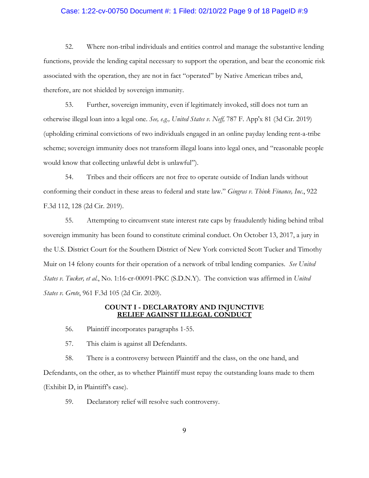## Case: 1:22-cv-00750 Document #: 1 Filed: 02/10/22 Page 9 of 18 PageID #:9

52. Where non-tribal individuals and entities control and manage the substantive lending functions, provide the lending capital necessary to support the operation, and bear the economic risk associated with the operation, they are not in fact "operated" by Native American tribes and, therefore, are not shielded by sovereign immunity.

53. Further, sovereign immunity, even if legitimately invoked, still does not turn an otherwise illegal loan into a legal one. *See, e.g., United States v. Neff,* 787 F. App'x 81 (3d Cir. 2019) (upholding criminal convictions of two individuals engaged in an online payday lending rent-a-tribe scheme; sovereign immunity does not transform illegal loans into legal ones, and "reasonable people would know that collecting unlawful debt is unlawful").

54. Tribes and their officers are not free to operate outside of Indian lands without conforming their conduct in these areas to federal and state law." *Gingras v. Think Finance, Inc*., 922 F.3d 112, 128 (2d Cir. 2019).

55. Attempting to circumvent state interest rate caps by fraudulently hiding behind tribal sovereign immunity has been found to constitute criminal conduct. On October 13, 2017, a jury in the U.S. District Court for the Southern District of New York convicted Scott Tucker and Timothy Muir on 14 felony counts for their operation of a network of tribal lending companies. *See United States v. Tucker, et al.*, No. 1:16-cr-00091-PKC (S.D.N.Y). The conviction was affirmed in *United States v. Grote*, 961 F.3d 105 (2d Cir. 2020).

#### **COUNT I - DECLARATORY AND INJUNCTIVE RELIEF AGAINST ILLEGAL CONDUCT**

56. Plaintiff incorporates paragraphs 1-55.

57. This claim is against all Defendants.

58. There is a controversy between Plaintiff and the class, on the one hand, and Defendants, on the other, as to whether Plaintiff must repay the outstanding loans made to them (Exhibit D, in Plaintiff's case).

59. Declaratory relief will resolve such controversy.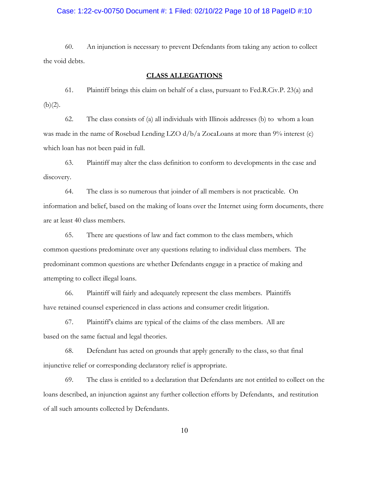## Case: 1:22-cv-00750 Document #: 1 Filed: 02/10/22 Page 10 of 18 PageID #:10

60. An injunction is necessary to prevent Defendants from taking any action to collect the void debts.

#### **CLASS ALLEGATIONS**

61. Plaintiff brings this claim on behalf of a class, pursuant to Fed.R.Civ.P. 23(a) and  $(b)(2)$ .

62. The class consists of (a) all individuals with Illinois addresses (b) to whom a loan was made in the name of Rosebud Lending LZO  $d/b/a$  ZocaLoans at more than  $9\%$  interest (c) which loan has not been paid in full.

63. Plaintiff may alter the class definition to conform to developments in the case and discovery.

64. The class is so numerous that joinder of all members is not practicable. On information and belief, based on the making of loans over the Internet using form documents, there are at least 40 class members.

65. There are questions of law and fact common to the class members, which common questions predominate over any questions relating to individual class members. The predominant common questions are whether Defendants engage in a practice of making and attempting to collect illegal loans.

66. Plaintiff will fairly and adequately represent the class members. Plaintiffs have retained counsel experienced in class actions and consumer credit litigation.

67. Plaintiff's claims are typical of the claims of the class members. All are based on the same factual and legal theories.

68. Defendant has acted on grounds that apply generally to the class, so that final injunctive relief or corresponding declaratory relief is appropriate.

69. The class is entitled to a declaration that Defendants are not entitled to collect on the loans described, an injunction against any further collection efforts by Defendants, and restitution of all such amounts collected by Defendants.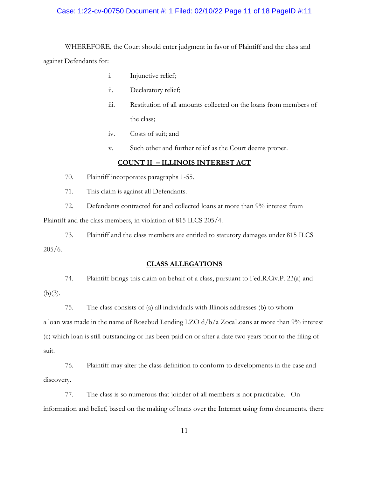## Case: 1:22-cv-00750 Document #: 1 Filed: 02/10/22 Page 11 of 18 PageID #:11

WHEREFORE, the Court should enter judgment in favor of Plaintiff and the class and against Defendants for:

- i. Injunctive relief;
- ii. Declaratory relief;
- iii. Restitution of all amounts collected on the loans from members of the class;
- iv. Costs of suit; and
- v. Such other and further relief as the Court deems proper.

## **COUNT II – ILLINOIS INTEREST ACT**

- 70. Plaintiff incorporates paragraphs 1-55.
- 71. This claim is against all Defendants.

72. Defendants contracted for and collected loans at more than 9% interest from

Plaintiff and the class members, in violation of 815 ILCS 205/4.

73. Plaintiff and the class members are entitled to statutory damages under 815 ILCS 205/6.

## **CLASS ALLEGATIONS**

74. Plaintiff brings this claim on behalf of a class, pursuant to Fed.R.Civ.P. 23(a) and  $(b)(3)$ .

75. The class consists of (a) all individuals with Illinois addresses (b) to whom a loan was made in the name of Rosebud Lending LZO d/b/a ZocaLoans at more than 9% interest (c) which loan is still outstanding or has been paid on or after a date two years prior to the filing of suit.

76. Plaintiff may alter the class definition to conform to developments in the case and discovery.

77. The class is so numerous that joinder of all members is not practicable. On information and belief, based on the making of loans over the Internet using form documents, there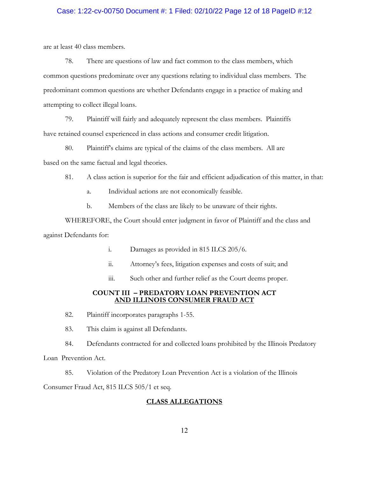## Case: 1:22-cv-00750 Document #: 1 Filed: 02/10/22 Page 12 of 18 PageID #:12

are at least 40 class members.

78. There are questions of law and fact common to the class members, which common questions predominate over any questions relating to individual class members. The predominant common questions are whether Defendants engage in a practice of making and attempting to collect illegal loans.

79. Plaintiff will fairly and adequately represent the class members. Plaintiffs have retained counsel experienced in class actions and consumer credit litigation.

80. Plaintiff's claims are typical of the claims of the class members. All are based on the same factual and legal theories.

- 81. A class action is superior for the fair and efficient adjudication of this matter, in that:
	- a. Individual actions are not economically feasible.
	- b. Members of the class are likely to be unaware of their rights.

WHEREFORE, the Court should enter judgment in favor of Plaintiff and the class and against Defendants for:

- i. Damages as provided in 815 ILCS 205/6.
- ii. Attorney's fees, litigation expenses and costs of suit; and
- iii. Such other and further relief as the Court deems proper.

## **COUNT III – PREDATORY LOAN PREVENTION ACT AND ILLINOIS CONSUMER FRAUD ACT**

- 82. Plaintiff incorporates paragraphs 1-55.
- 83. This claim is against all Defendants.

84. Defendants contracted for and collected loans prohibited by the Illinois Predatory

Loan Prevention Act.

85. Violation of the Predatory Loan Prevention Act is a violation of the Illinois

Consumer Fraud Act, 815 ILCS 505/1 et seq.

## **CLASS ALLEGATIONS**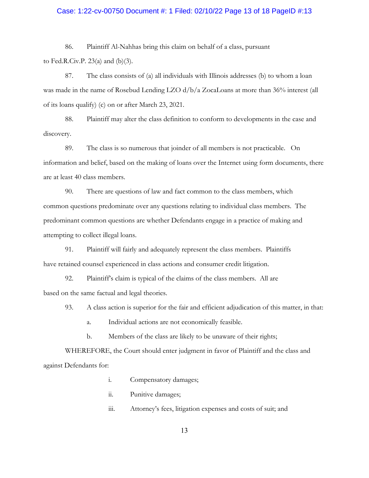## Case: 1:22-cv-00750 Document #: 1 Filed: 02/10/22 Page 13 of 18 PageID #:13

86. Plaintiff Al-Nahhas bring this claim on behalf of a class, pursuant

to Fed.R.Civ.P. 23(a) and (b)(3).

87. The class consists of (a) all individuals with Illinois addresses (b) to whom a loan was made in the name of Rosebud Lending LZO d/b/a ZocaLoans at more than 36% interest (all of its loans qualify) (c) on or after March 23, 2021.

88. Plaintiff may alter the class definition to conform to developments in the case and discovery.

89. The class is so numerous that joinder of all members is not practicable. On information and belief, based on the making of loans over the Internet using form documents, there are at least 40 class members.

90. There are questions of law and fact common to the class members, which common questions predominate over any questions relating to individual class members. The predominant common questions are whether Defendants engage in a practice of making and attempting to collect illegal loans.

91. Plaintiff will fairly and adequately represent the class members. Plaintiffs have retained counsel experienced in class actions and consumer credit litigation.

92. Plaintiff's claim is typical of the claims of the class members. All are based on the same factual and legal theories.

93. A class action is superior for the fair and efficient adjudication of this matter, in that:

a. Individual actions are not economically feasible.

b. Members of the class are likely to be unaware of their rights;

WHEREFORE, the Court should enter judgment in favor of Plaintiff and the class and against Defendants for:

- i. Compensatory damages;
- ii. Punitive damages;
- iii. Attorney's fees, litigation expenses and costs of suit; and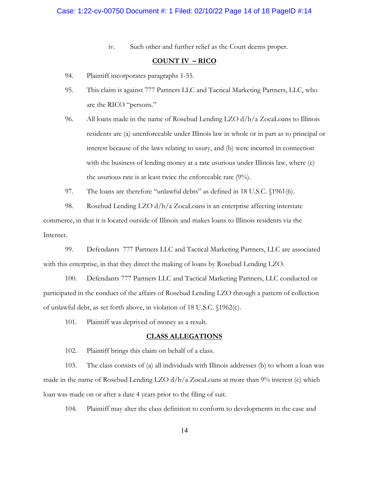iv. Such other and further relief as the Court deems proper.

## **COUNT IV – RICO**

- 94. Plaintiff incorporates paragraphs 1-55.
- 95. This claim is against 777 Partners LLC and Tactical Marketing Partners, LLC, who are the RICO "persons."
- 96. All loans made in the name of Rosebud Lending LZO d/b/a ZocaLoans to Illinois residents are (a) unenforceable under Illinois law in whole or in part as to principal or interest because of the laws relating to usury, and (b) were incurred in connection with the business of lending money at a rate usurious under Illinois law, where (c) the usurious rate is at least twice the enforceable rate (9%).
- 97. The loans are therefore "unlawful debts" as defined in 18 U.S.C. §1961(6).

98. Rosebud Lending LZO d/b/a ZocaLoans is an enterprise affecting interstate commerce, in that it is located outside of Illinois and makes loans to Illinois residents via the Internet.

99. Defendants 777 Partners LLC and Tactical Marketing Partners, LLC are associated with this enterprise, in that they direct the making of loans by Rosebud Lending LZO.

100. Defendants 777 Partners LLC and Tactical Marketing Partners, LLC conducted or participated in the conduct of the affairs of Rosebud Lending LZO through a pattern of collection of unlawful debt, as set forth above, in violation of 18 U.S.C. §1962(c).

101. Plaintiff was deprived of money as a result.

#### **CLASS ALLEGATIONS**

102. Plaintiff brings this claim on behalf of a class.

103. The class consists of (a) all individuals with Illinois addresses (b) to whom a loan was made in the name of Rosebud Lending LZO d/b/a ZocaLoans at more than 9% interest (c) which loan was made on or after a date 4 years prior to the filing of suit.

104. Plaintiff may alter the class definition to conform to developments in the case and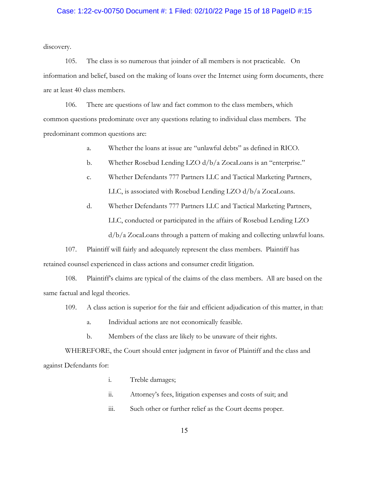## Case: 1:22-cv-00750 Document #: 1 Filed: 02/10/22 Page 15 of 18 PageID #:15

discovery.

105. The class is so numerous that joinder of all members is not practicable. On information and belief, based on the making of loans over the Internet using form documents, there are at least 40 class members.

106. There are questions of law and fact common to the class members, which common questions predominate over any questions relating to individual class members. The predominant common questions are:

- a. Whether the loans at issue are "unlawful debts" as defined in RICO.
- b. Whether Rosebud Lending LZO d/b/a ZocaLoans is an "enterprise."
- c. Whether Defendants 777 Partners LLC and Tactical Marketing Partners, LLC, is associated with Rosebud Lending LZO d/b/a ZocaLoans.
- d. Whether Defendants 777 Partners LLC and Tactical Marketing Partners, LLC, conducted or participated in the affairs of Rosebud Lending LZO d/b/a ZocaLoans through a pattern of making and collecting unlawful loans.

107. Plaintiff will fairly and adequately represent the class members. Plaintiff has retained counsel experienced in class actions and consumer credit litigation.

108. Plaintiff's claims are typical of the claims of the class members. All are based on the same factual and legal theories.

- 109. A class action is superior for the fair and efficient adjudication of this matter, in that:
	- a. Individual actions are not economically feasible.
	- b. Members of the class are likely to be unaware of their rights.

WHEREFORE, the Court should enter judgment in favor of Plaintiff and the class and against Defendants for:

- i. Treble damages;
- ii. Attorney's fees, litigation expenses and costs of suit; and
- iii. Such other or further relief as the Court deems proper.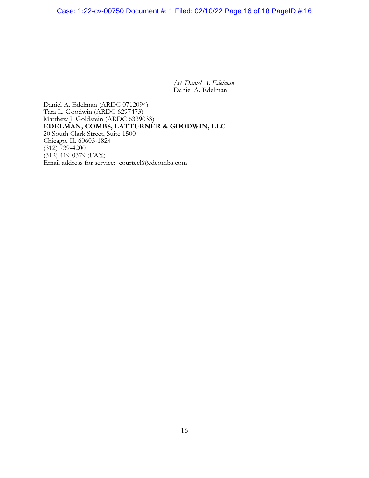Case: 1:22-cv-00750 Document #: 1 Filed: 02/10/22 Page 16 of 18 PageID #:16

*/s/ Daniel A. Edelman* Daniel A. Edelman

Daniel A. Edelman (ARDC 0712094) Tara L. Goodwin (ARDC 6297473) Matthew J. Goldstein (ARDC 6339033) **EDELMAN, COMBS, LATTURNER & GOODWIN, LLC** 20 South Clark Street, Suite 1500 Chicago, IL 60603-1824 (312) 739-4200  $(312)$  419-0379 (FAX) Email address for service: courtecl@edcombs.com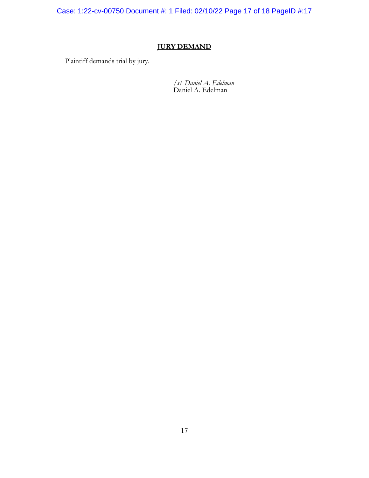Case: 1:22-cv-00750 Document #: 1 Filed: 02/10/22 Page 17 of 18 PageID #:17

# **JURY DEMAND**

Plaintiff demands trial by jury.

*/s/ Daniel A. Edelman* Daniel A. Edelman